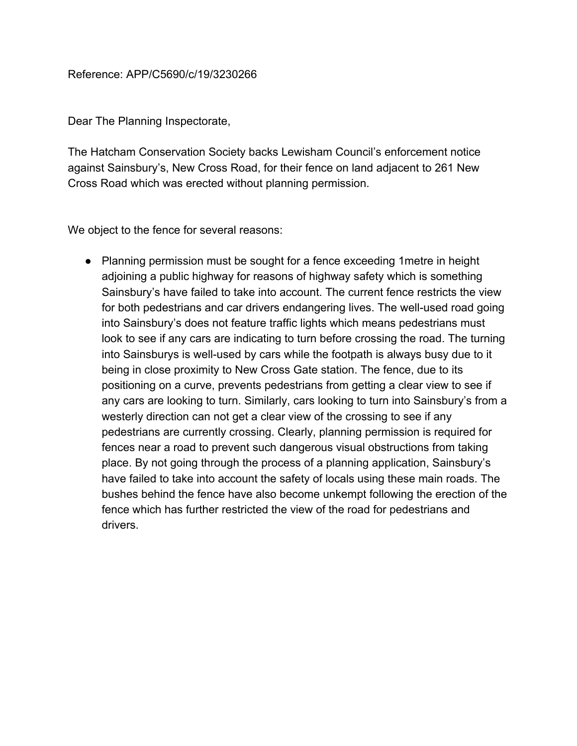## Reference: APP/C5690/c/19/3230266

Dear The Planning Inspectorate,

The Hatcham Conservation Society backs Lewisham Council's enforcement notice against Sainsbury's, New Cross Road, for their fence on land adjacent to 261 New Cross Road which was erected without planning permission.

We object to the fence for several reasons:

• Planning permission must be sought for a fence exceeding 1 metre in height adjoining a public highway for reasons of highway safety which is something Sainsbury's have failed to take into account. The current fence restricts the view for both pedestrians and car drivers endangering lives. The well-used road going into Sainsbury's does not feature traffic lights which means pedestrians must look to see if any cars are indicating to turn before crossing the road. The turning into Sainsburys is well-used by cars while the footpath is always busy due to it being in close proximity to New Cross Gate station. The fence, due to its positioning on a curve, prevents pedestrians from getting a clear view to see if any cars are looking to turn. Similarly, cars looking to turn into Sainsbury's from a westerly direction can not get a clear view of the crossing to see if any pedestrians are currently crossing. Clearly, planning permission is required for fences near a road to prevent such dangerous visual obstructions from taking place. By not going through the process of a planning application, Sainsbury's have failed to take into account the safety of locals using these main roads. The bushes behind the fence have also become unkempt following the erection of the fence which has further restricted the view of the road for pedestrians and drivers.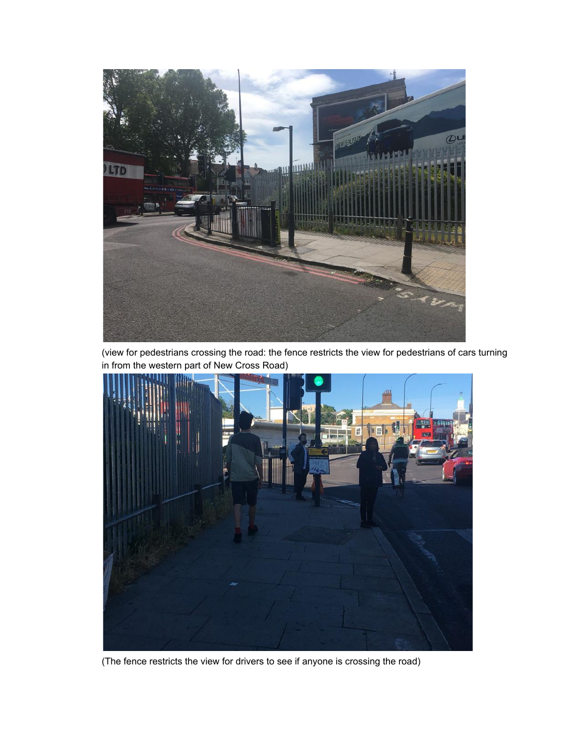

(view for pedestrians crossing the road: the fence restricts the view for pedestrians of cars turning in from the western part of New Cross Road)



(The fence restricts the view for drivers to see if anyone is crossing the road)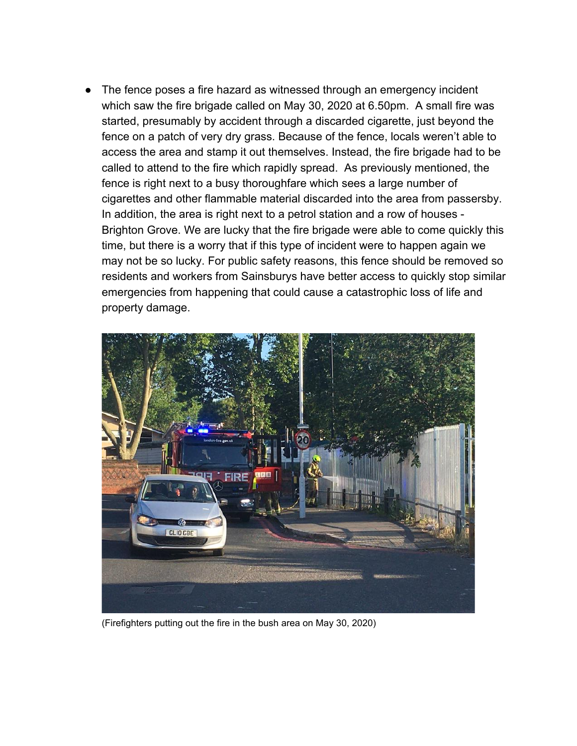The fence poses a fire hazard as witnessed through an emergency incident which saw the fire brigade called on May 30, 2020 at 6.50pm. A small fire was started, presumably by accident through a discarded cigarette, just beyond the fence on a patch of very dry grass. Because of the fence, locals weren't able to access the area and stamp it out themselves. Instead, the fire brigade had to be called to attend to the fire which rapidly spread. As previously mentioned, the fence is right next to a busy thoroughfare which sees a large number of cigarettes and other flammable material discarded into the area from passersby. In addition, the area is right next to a petrol station and a row of houses - Brighton Grove. We are lucky that the fire brigade were able to come quickly this time, but there is a worry that if this type of incident were to happen again we may not be so lucky. For public safety reasons, this fence should be removed so residents and workers from Sainsburys have better access to quickly stop similar emergencies from happening that could cause a catastrophic loss of life and property damage.



(Firefighters putting out the fire in the bush area on May 30, 2020)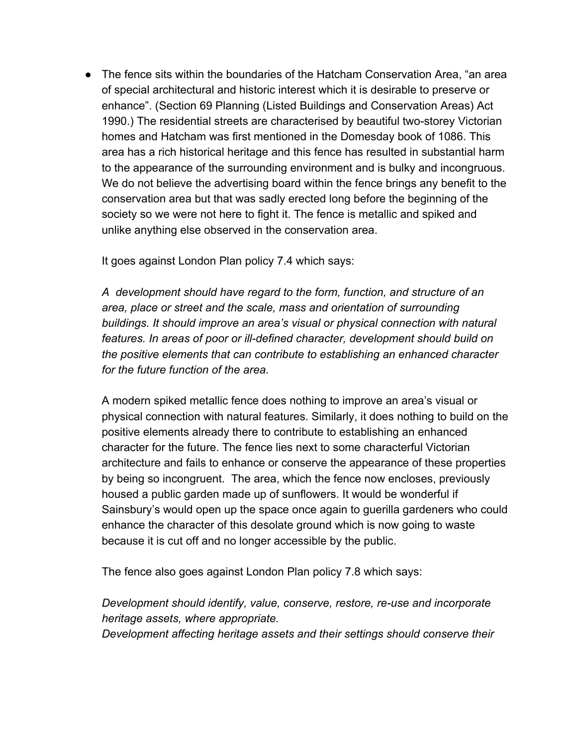● The fence sits within the boundaries of the Hatcham Conservation Area, "an area of special architectural and historic interest which it is desirable to preserve or enhance". (Section 69 Planning (Listed Buildings and Conservation Areas) Act 1990.) The residential streets are characterised by beautiful two-storey Victorian homes and Hatcham was first mentioned in the Domesday book of 1086. This area has a rich historical heritage and this fence has resulted in substantial harm to the appearance of the surrounding environment and is bulky and incongruous. We do not believe the advertising board within the fence brings any benefit to the conservation area but that was sadly erected long before the beginning of the society so we were not here to fight it. The fence is metallic and spiked and unlike anything else observed in the conservation area.

It goes against London Plan policy 7.4 which says:

*A development should have regard to the form, function, and structure of an area, place or street and the scale, mass and orientation of surrounding buildings. It should improve an area's visual or physical connection with natural features. In areas of poor or ill-defined character, development should build on the positive elements that can contribute to establishing an enhanced character for the future function of the area.*

A modern spiked metallic fence does nothing to improve an area's visual or physical connection with natural features. Similarly, it does nothing to build on the positive elements already there to contribute to establishing an enhanced character for the future. The fence lies next to some characterful Victorian architecture and fails to enhance or conserve the appearance of these properties by being so incongruent. The area, which the fence now encloses, previously housed a public garden made up of sunflowers. It would be wonderful if Sainsbury's would open up the space once again to guerilla gardeners who could enhance the character of this desolate ground which is now going to waste because it is cut off and no longer accessible by the public.

The fence also goes against London Plan policy 7.8 which says:

*Development should identify, value, conserve, restore, re-use and incorporate heritage assets, where appropriate.*

*Development affecting heritage assets and their settings should conserve their*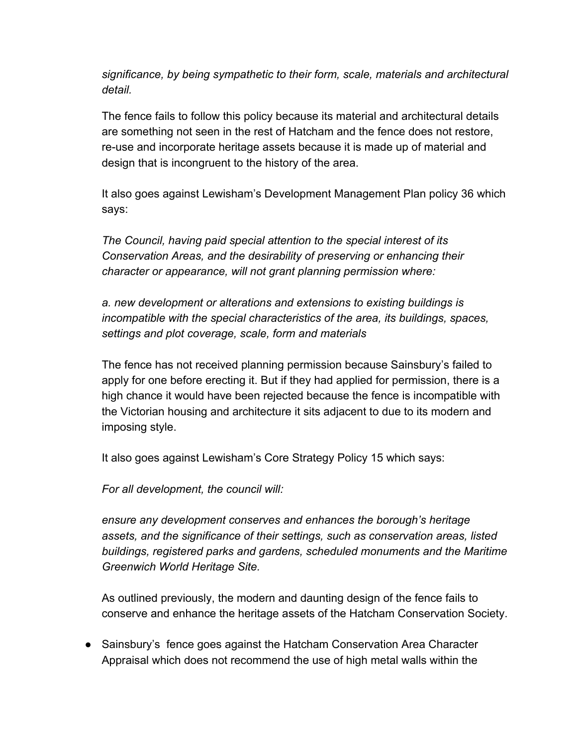*significance, by being sympathetic to their form, scale, materials and architectural detail.*

The fence fails to follow this policy because its material and architectural details are something not seen in the rest of Hatcham and the fence does not restore, re-use and incorporate heritage assets because it is made up of material and design that is incongruent to the history of the area.

It also goes against Lewisham's Development Management Plan policy 36 which says:

*The Council, having paid special attention to the special interest of its Conservation Areas, and the desirability of preserving or enhancing their character or appearance, will not grant planning permission where:*

*a. new development or alterations and extensions to existing buildings is incompatible with the special characteristics of the area, its buildings, spaces, settings and plot coverage, scale, form and materials*

The fence has not received planning permission because Sainsbury's failed to apply for one before erecting it. But if they had applied for permission, there is a high chance it would have been rejected because the fence is incompatible with the Victorian housing and architecture it sits adjacent to due to its modern and imposing style.

It also goes against Lewisham's Core Strategy Policy 15 which says:

*For all development, the council will:*

*ensure any development conserves and enhances the borough's heritage assets, and the significance of their settings, such as conservation areas, listed buildings, registered parks and gardens, scheduled monuments and the Maritime Greenwich World Heritage Site.*

As outlined previously, the modern and daunting design of the fence fails to conserve and enhance the heritage assets of the Hatcham Conservation Society.

● Sainsbury's fence goes against the Hatcham Conservation Area Character Appraisal which does not recommend the use of high metal walls within the